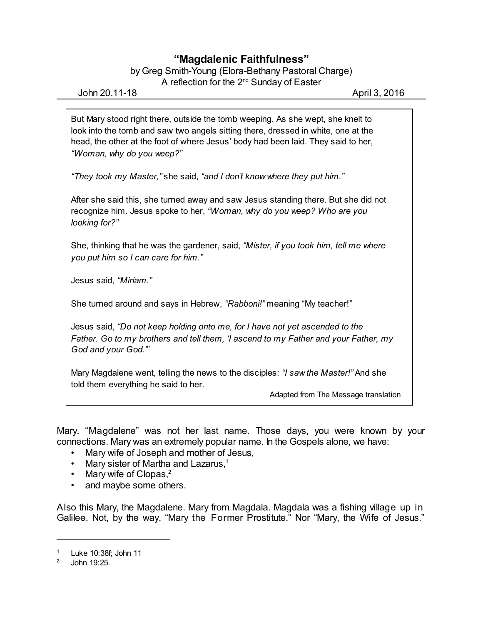## **"Magdalenic Faithfulness"**

by Greg Smith-Young (Elora-Bethany Pastoral Charge) A reflection for the 2 $^{\text{nd}}$  Sunday of Easter

John 20.11-18 April 3, 2016

But Mary stood right there, outside the tomb weeping. As she wept, she knelt to look into the tomb and saw two angels sitting there, dressed in white, one at the head, the other at the foot of where Jesus' body had been laid. They said to her, *"Woman, why do you weep?"*

*"They took my Master,"* she said, *"and I don't know where they put him."*

After she said this, she turned away and saw Jesus standing there. But she did not recognize him. Jesus spoke to her, *"Woman, why do you weep? Who are you looking for?"*

She, thinking that he was the gardener, said, *"Mister, if you took him, tell me where you put him so I can care for him."*

Jesus said, *"Miriam."*

She turned around and says in Hebrew, *"Rabboni!"* meaning "My teacher!"

Jesus said, *"Do not keep holding onto me, for I have not yet ascended to the Father. Go to my brothers and tell them, 'I ascend to my Father and your Father, my God and your God.'"*

Mary Magdalene went, telling the news to the disciples: *"I saw the Master!"* And she told them everything he said to her.

Adapted from The Message translation

Mary. "Magdalene" was not her last name. Those days, you were known by your connections. Mary was an extremely popular name. In the Gospels alone, we have:

- Mary wife of Joseph and mother of Jesus,
- Mary sister of Martha and Lazarus, $1$
- Mary wife of Clopas, $2$
- and maybe some others.

Also this Mary, the Magdalene. Mary from Magdala. Magdala was a fishing village up in Galilee. Not, by the way, "Mary the Former Prostitute." Nor "Mary, the Wife of Jesus."

Luke 10:38f: John 11

<sup>2</sup> John 19:25.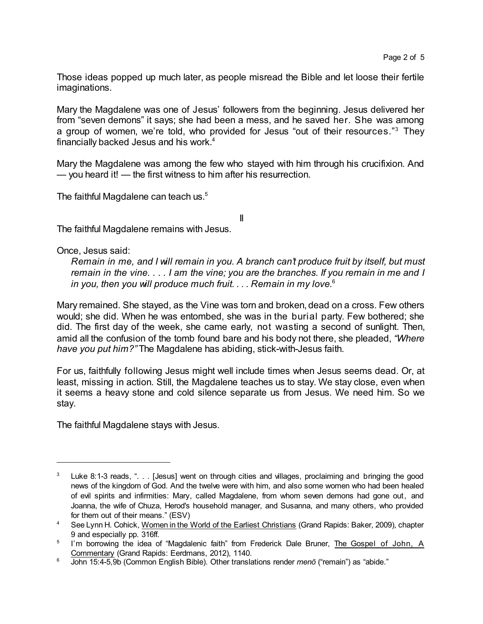Those ideas popped up much later, as people misread the Bible and let loose their fertile imaginations.

Mary the Magdalene was one of Jesus' followers from the beginning. Jesus delivered her from "seven demons" it says; she had been a mess, and he saved her. She was among a group of women, we're told, who provided for Jesus "out of their resources." <sup>3</sup> They financially backed Jesus and his work.<sup>4</sup>

Mary the Magdalene was among the few who stayed with him through his crucifixion. And — you heard it! — the first witness to him after his resurrection.

II

The faithful Magdalene can teach us.<sup>5</sup>

The faithful Magdalene remains with Jesus.

Once, Jesus said:

*Remain in me, and I will remain in you. A branch can't produce fruit by itself, but must remain in the vine. . . . I am the vine; you are the branches. If you remain in me and I in you, then you will produce much fruit. . . . Remain in my love.*<sup>6</sup>

Mary remained. She stayed, as the Vine was torn and broken, dead on a cross. Few others would; she did. When he was entombed, she was in the burial party. Few bothered; she did. The first day of the week, she came early, not wasting a second of sunlight. Then, amid all the confusion of the tomb found bare and his body not there, she pleaded, *"Where have you put him?"* The Magdalene has abiding, stick-with-Jesus faith.

For us, faithfully following Jesus might well include times when Jesus seems dead. Or, at least, missing in action. Still, the Magdalene teaches us to stay. We stay close, even when it seems a heavy stone and cold silence separate us from Jesus. We need him. So we stay.

The faithful Magdalene stays with Jesus.

<sup>&</sup>lt;sup>3</sup> Luke 8:1-3 reads, ". . . [Jesus] went on through cities and villages, proclaiming and bringing the good news of the kingdom of God. And the twelve were with him, and also some women who had been healed of evil spirits and infirmities: Mary, called Magdalene, from whom seven demons had gone out, and Joanna, the wife of Chuza, Herod's household manager, and Susanna, and many others, who provided for them out of their means." (ESV)

<sup>4</sup> See Lynn H. Cohick, Women in the World of the Earliest Christians (Grand Rapids: Baker, 2009), chapter 9 and especially pp. 316ff.

<sup>&</sup>lt;sup>5</sup> I'm borrowing the idea of "Magdalenic faith" from Frederick Dale Bruner, The Gospel of John, A Commentary (Grand Rapids: Eerdmans, 2012), 1140.

<sup>6</sup> John 15:4-5,9b (Common English Bible). Other translations render *menô* ("remain") as "abide."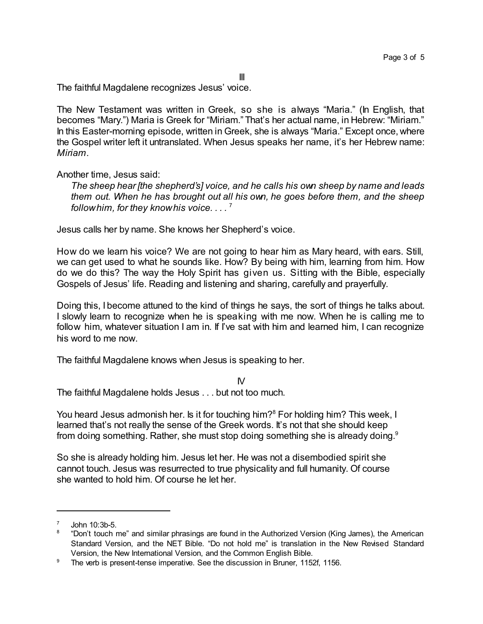III

The faithful Magdalene recognizes Jesus' voice.

The New Testament was written in Greek, so she is always "Maria." (In English, that becomes "Mary.") Maria is Greek for "Miriam." That's her actual name, in Hebrew: "Miriam." In this Easter-morning episode, written in Greek, she is always "Maria." Except once, where the Gospel writer left it untranslated. When Jesus speaks her name, it's her Hebrew name: *Miriam*.

Another time, Jesus said:

*The sheep hear [the shepherd's] voice, and he calls his own sheep by name and leads them out. When he has brought out all his own, he goes before them, and the sheep followhim, for they knowhis voice. . . .* 7

Jesus calls her by name. She knows her Shepherd's voice.

How do we learn his voice? We are not going to hear him as Mary heard, with ears. Still, we can get used to what he sounds like. How? By being with him, learning from him. How do we do this? The way the Holy Spirit has given us. Sitting with the Bible, especially Gospels of Jesus' life. Reading and listening and sharing, carefully and prayerfully.

Doing this, I become attuned to the kind of things he says, the sort of things he talks about. I slowly learn to recognize when he is speaking with me now. When he is calling me to follow him, whatever situation I am in. If I've sat with him and learned him, I can recognize his word to me now.

The faithful Magdalene knows when Jesus is speaking to her.

IV The faithful Magdalene holds Jesus . . . but not too much.

You heard Jesus admonish her. Is it for touching him?<sup>8</sup> For holding him? This week, I learned that's not really the sense of the Greek words. It's not that she should keep from doing something. Rather, she must stop doing something she is already doing.<sup>9</sup>

So she is already holding him. Jesus let her. He was not a disembodied spirit she cannot touch. Jesus was resurrected to true physicality and full humanity. Of course she wanted to hold him. Of course he let her.

<sup>7</sup> John 10:3b-5.

<sup>8</sup> "Don't touch me" and similar phrasings are found in the Authorized Version (King James), the American Standard Version, and the NET Bible. "Do not hold me" is translation in the New Revised Standard Version, the New International Version, and the Common English Bible.

<sup>&</sup>lt;sup>9</sup> The verb is present-tense imperative. See the discussion in Bruner, 1152f, 1156.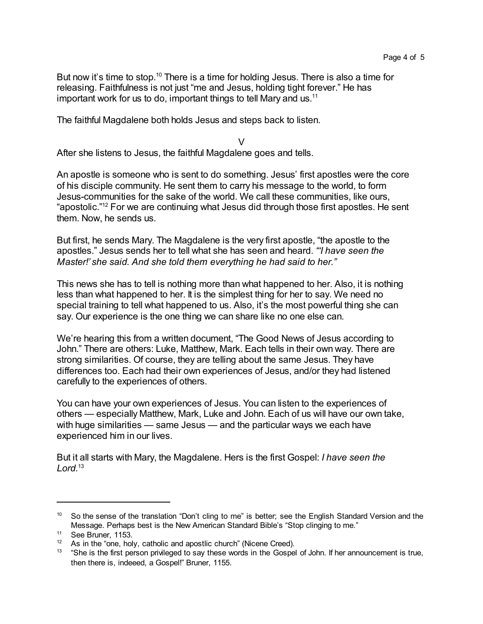But now it's time to stop.<sup>10</sup> There is a time for holding Jesus. There is also a time for releasing. Faithfulness is not just "me and Jesus, holding tight forever." He has important work for us to do, important things to tell Mary and us.<sup>11</sup>

The faithful Magdalene both holds Jesus and steps back to listen.

 $\vee$ 

After she listens to Jesus, the faithful Magdalene goes and tells.

An apostle is someone who is sent to do something. Jesus' first apostles were the core of his disciple community. He sent them to carry his message to the world, to form Jesus-communities for the sake of the world. We call these communities, like ours, "apostolic." <sup>12</sup> For we are continuing what Jesus did through those first apostles. He sent them. Now, he sends us.

But first, he sends Mary. The Magdalene is the very first apostle, "the apostle to the apostles." Jesus sends her to tell what she has seen and heard. *"'I have seen the Master!' she said. And she told them everything he had said to her."*

This news she has to tell is nothing more than what happened to her. Also, it is nothing less than what happened to her. It is the simplest thing for her to say. We need no special training to tell what happened to us. Also, it's the most powerful thing she can say. Our experience is the one thing we can share like no one else can.

We're hearing this from a written document, "The Good News of Jesus according to John." There are others: Luke, Matthew, Mark. Each tells in their own way. There are strong similarities. Of course, they are telling about the same Jesus. They have differences too. Each had their own experiences of Jesus, and/or they had listened carefully to the experiences of others.

You can have your own experiences of Jesus. You can listen to the experiences of others — especially Matthew, Mark, Luke and John. Each of us will have our own take, with huge similarities — same Jesus — and the particular ways we each have experienced him in our lives.

But it all starts with Mary, the Magdalene. Hers is the first Gospel: *I have seen the Lord.*<sup>13</sup>

<sup>&</sup>lt;sup>10</sup> So the sense of the translation "Don't cling to me" is better; see the English Standard Version and the Message. Perhaps best is the New American Standard Bible's "Stop clinging to me."

<sup>11</sup> See Bruner, 1153.

 $12$  As in the "one, holy, catholic and apostlic church" (Nicene Creed).

<sup>&</sup>lt;sup>13</sup> "She is the first person privileged to say these words in the Gospel of John. If her announcement is true, then there is, indeeed, a Gospel!" Bruner, 1155.